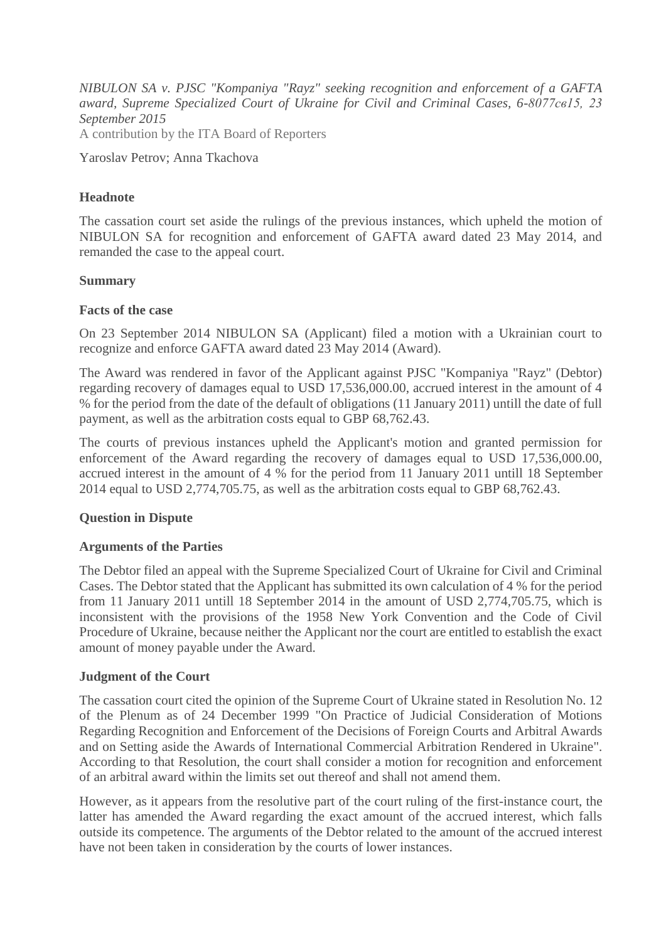*NIBULON SA v. PJSC "Kompaniya "Rayz" seeking recognition and enforcement of a GAFTA award, Supreme Specialized Court of Ukraine for Civil and Criminal Cases, 6-8077св15, 23 September 2015* A contribution by the ITA Board of Reporters

Yaroslav Petrov; Anna Tkachova

# **Headnote**

The cassation court set aside the rulings of the previous instances, which upheld the motion of NIBULON SA for recognition and enforcement of GAFTA award dated 23 May 2014, and remanded the case to the appeal court.

### **Summary**

### **Facts of the case**

On 23 September 2014 NIBULON SA (Applicant) filed a motion with a Ukrainian court to recognize and enforce GAFTA award dated 23 May 2014 (Award).

The Award was rendered in favor of the Applicant against PJSC "Kompaniya "Rayz" (Debtor) regarding recovery of damages equal to USD 17,536,000.00, accrued interest in the amount of 4 % for the period from the date of the default of obligations (11 January 2011) untill the date of full payment, as well as the arbitration costs equal to GBP 68,762.43.

The courts of previous instances upheld the Applicant's motion and granted permission for enforcement of the Award regarding the recovery of damages equal to USD 17,536,000.00, accrued interest in the amount of 4 % for the period from 11 January 2011 untill 18 September 2014 equal to USD 2,774,705.75, as well as the arbitration costs equal to GBP 68,762.43.

# **Question in Dispute**

### **Arguments of the Parties**

The Debtor filed an appeal with the Supreme Specialized Court of Ukraine for Civil and Criminal Cases. The Debtor stated that the Applicant has submitted its own calculation of 4 % for the period from 11 January 2011 untill 18 September 2014 in the amount of USD 2,774,705.75, which is inconsistent with the provisions of the 1958 New York Convention and the Code of Civil Procedure of Ukraine, because neither the Applicant nor the court are entitled to establish the exact amount of money payable under the Award.

# **Judgment of the Court**

The cassation court cited the opinion of the Supreme Court of Ukraine stated in Resolution No. 12 of the Plenum as of 24 December 1999 "On Practice of Judicial Consideration of Motions Regarding Recognition and Enforcement of the Decisions of Foreign Courts and Arbitral Awards and on Setting aside the Awards of International Commercial Arbitration Rendered in Ukraine". According to that Resolution, the court shall consider a motion for recognition and enforcement of an arbitral award within the limits set out thereof and shall not amend them.

However, as it appears from the resolutive part of the court ruling of the first-instance court, the latter has amended the Award regarding the exact amount of the accrued interest, which falls outside its competence. The arguments of the Debtor related to the amount of the accrued interest have not been taken in consideration by the courts of lower instances.